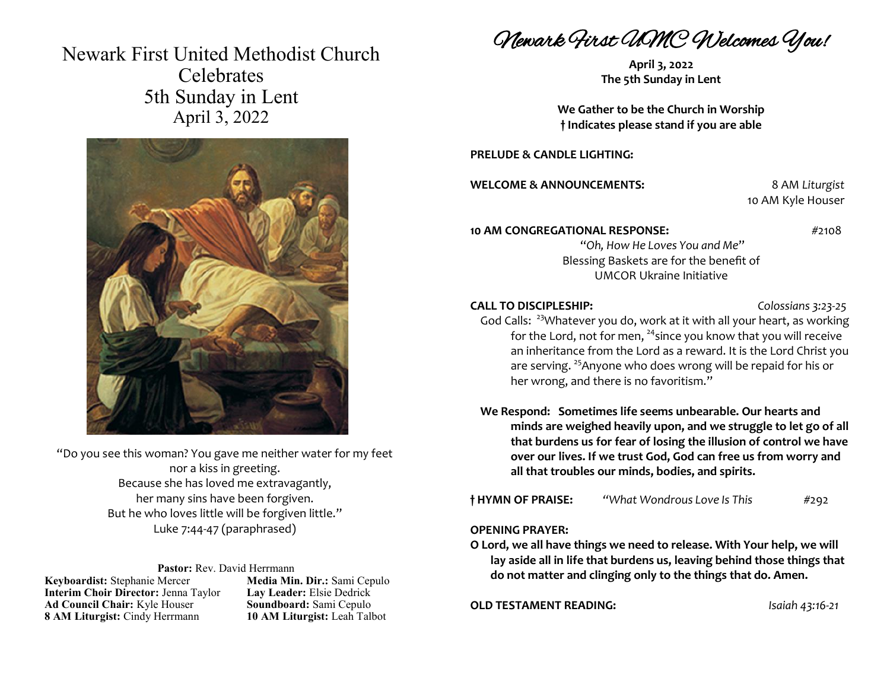Newark First United Methodist Church **Celebrates** 5th Sunday in Lent April 3, 2022



"Do you see this woman? You gave me neither water for my feet nor a kiss in greeting. Because she has loved me extravagantly, her many sins have been forgiven. But he who loves little will be forgiven little." Luke 7:44-47 (paraphrased)

#### **Pastor:** Rev. David Herrmann

**Keyboardist:** Stephanie Mercer **Media Min. Dir.:** Sami Cepulo **Interim Choir Director:** Jenna Taylor **Lay Leader:** Elsie Dedrick **Ad Council Chair:** Kyle Houser **Soundboard:** Sami Cepulo **8 AM Liturgist:** Cindy Herrmann **10 AM Liturgist:** Leah Talbot

Newark First UMC Welcomes You!

**April 3, 2022 The 5th Sunday in Lent**

**We Gather to be the Church in Worship † Indicates please stand if you are able**

**PRELUDE & CANDLE LIGHTING:**

**WELCOME & ANNOUNCEMENTS:** 8 AM *Liturgist*

10 AM Kyle Houser

**10 AM CONGREGATIONAL RESPONSE:** #2108

"*Oh, How He Loves You and Me*" Blessing Baskets are for the benefit of UMCOR Ukraine Initiative

## **CALL TO DISCIPLESHIP:** *Colossians 3:23-25*

God Calls: <sup>23</sup>Whatever you do, work at it with all your heart, as working for the Lord, not for men, <sup>24</sup> since you know that you will receive an inheritance from the Lord as a reward. It is the Lord Christ you are serving. <sup>25</sup>Anyone who does wrong will be repaid for his or her wrong, and there is no favoritism."

**We Respond: Sometimes life seems unbearable. Our hearts and minds are weighed heavily upon, and we struggle to let go of all that burdens us for fear of losing the illusion of control we have over our lives. If we trust God, God can free us from worry and all that troubles our minds, bodies, and spirits.**

**† HYMN OF PRAISE:** *"What Wondrous Love Is This* #292

### **OPENING PRAYER:**

**O Lord, we all have things we need to release. With Your help, we will lay aside all in life that burdens us, leaving behind those things that do not matter and clinging only to the things that do. Amen.**

**OLD TESTAMENT READING:** *Isaiah 43:16-21*